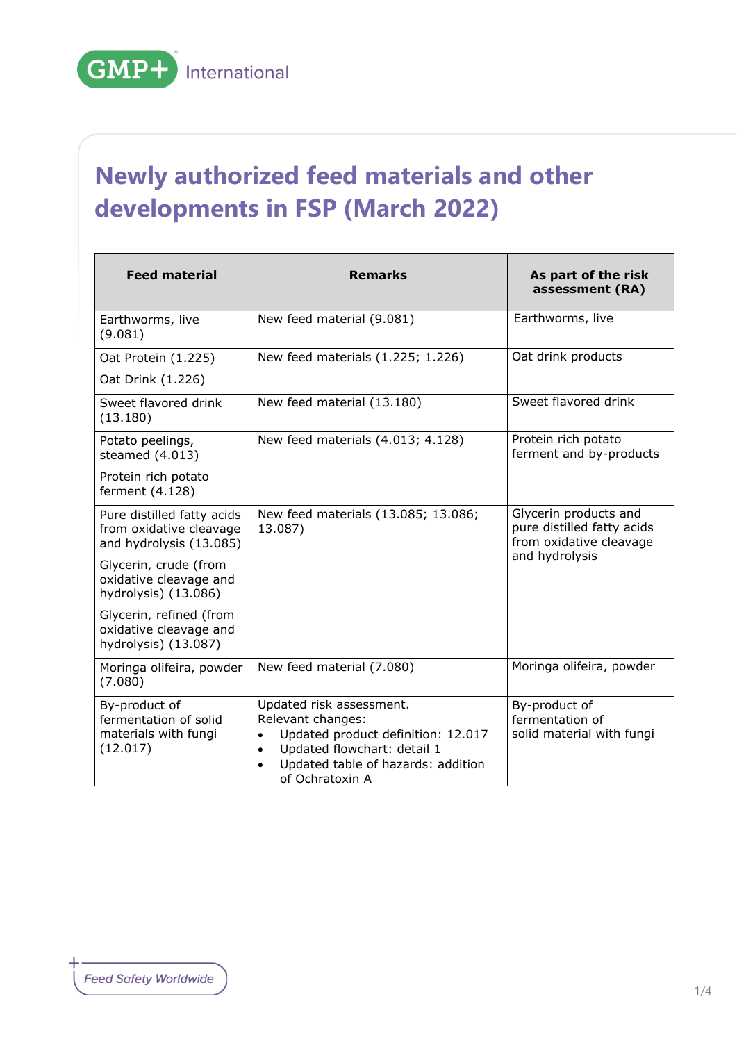## **Newly authorized feed materials and other developments in FSP (March 2022)**

| <b>Feed material</b>                                                             | <b>Remarks</b>                                                                                                                                                                                                     | As part of the risk<br>assessment (RA)                                         |
|----------------------------------------------------------------------------------|--------------------------------------------------------------------------------------------------------------------------------------------------------------------------------------------------------------------|--------------------------------------------------------------------------------|
| Earthworms, live<br>(9.081)                                                      | New feed material (9.081)                                                                                                                                                                                          | Earthworms, live                                                               |
| Oat Protein (1.225)                                                              | New feed materials (1.225; 1.226)                                                                                                                                                                                  | Oat drink products                                                             |
| Oat Drink (1.226)                                                                |                                                                                                                                                                                                                    |                                                                                |
| Sweet flavored drink<br>(13.180)                                                 | New feed material (13.180)                                                                                                                                                                                         | Sweet flavored drink                                                           |
| Potato peelings,<br>steamed (4.013)                                              | New feed materials (4.013; 4.128)                                                                                                                                                                                  | Protein rich potato<br>ferment and by-products                                 |
| Protein rich potato<br>ferment (4.128)                                           |                                                                                                                                                                                                                    |                                                                                |
| Pure distilled fatty acids<br>from oxidative cleavage<br>and hydrolysis (13.085) | New feed materials (13.085; 13.086;<br>13.087)                                                                                                                                                                     | Glycerin products and<br>pure distilled fatty acids<br>from oxidative cleavage |
| Glycerin, crude (from<br>oxidative cleavage and<br>hydrolysis) (13.086)          |                                                                                                                                                                                                                    | and hydrolysis                                                                 |
| Glycerin, refined (from<br>oxidative cleavage and<br>hydrolysis) (13.087)        |                                                                                                                                                                                                                    |                                                                                |
| Moringa olifeira, powder<br>(7.080)                                              | New feed material (7.080)                                                                                                                                                                                          | Moringa olifeira, powder                                                       |
| By-product of<br>fermentation of solid<br>materials with fungi<br>(12.017)       | Updated risk assessment.<br>Relevant changes:<br>Updated product definition: 12.017<br>$\bullet$<br>Updated flowchart: detail 1<br>$\bullet$<br>Updated table of hazards: addition<br>$\bullet$<br>of Ochratoxin A | By-product of<br>fermentation of<br>solid material with fungi                  |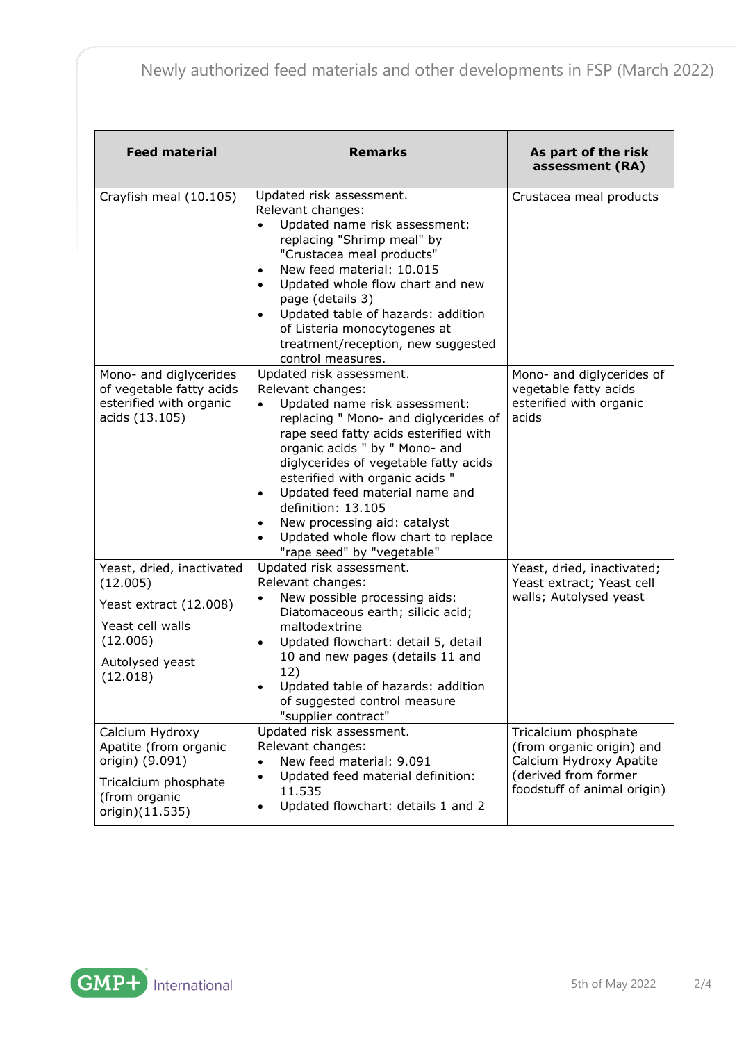| <b>Feed material</b>                                                                                                           | <b>Remarks</b>                                                                                                                                                                                                                                                                                                                                                                                                                                                                     | As part of the risk<br>assessment (RA)                                                                                              |
|--------------------------------------------------------------------------------------------------------------------------------|------------------------------------------------------------------------------------------------------------------------------------------------------------------------------------------------------------------------------------------------------------------------------------------------------------------------------------------------------------------------------------------------------------------------------------------------------------------------------------|-------------------------------------------------------------------------------------------------------------------------------------|
| Crayfish meal (10.105)                                                                                                         | Updated risk assessment.<br>Relevant changes:<br>Updated name risk assessment:<br>$\bullet$<br>replacing "Shrimp meal" by<br>"Crustacea meal products"<br>New feed material: 10.015<br>$\bullet$<br>Updated whole flow chart and new<br>$\bullet$<br>page (details 3)<br>Updated table of hazards: addition<br>$\bullet$<br>of Listeria monocytogenes at<br>treatment/reception, new suggested<br>control measures.                                                                | Crustacea meal products                                                                                                             |
| Mono- and diglycerides<br>of vegetable fatty acids<br>esterified with organic<br>acids (13.105)                                | Updated risk assessment.<br>Relevant changes:<br>Updated name risk assessment:<br>replacing " Mono- and diglycerides of<br>rape seed fatty acids esterified with<br>organic acids " by " Mono- and<br>diglycerides of vegetable fatty acids<br>esterified with organic acids "<br>Updated feed material name and<br>$\bullet$<br>definition: 13.105<br>New processing aid: catalyst<br>$\bullet$<br>Updated whole flow chart to replace<br>$\bullet$<br>"rape seed" by "vegetable" | Mono- and diglycerides of<br>vegetable fatty acids<br>esterified with organic<br>acids                                              |
| Yeast, dried, inactivated<br>(12.005)<br>Yeast extract (12.008)<br>Yeast cell walls<br>(12.006)<br>Autolysed yeast<br>(12.018) | Updated risk assessment.<br>Relevant changes:<br>New possible processing aids:<br>$\bullet$<br>Diatomaceous earth; silicic acid;<br>maltodextrine<br>Updated flowchart: detail 5, detail<br>$\bullet$<br>10 and new pages (details 11 and<br>12)<br>Updated table of hazards: addition<br>$\bullet$<br>of suggested control measure<br>"supplier contract"                                                                                                                         | Yeast, dried, inactivated;<br>Yeast extract; Yeast cell<br>walls; Autolysed yeast                                                   |
| Calcium Hydroxy<br>Apatite (from organic<br>origin) (9.091)<br>Tricalcium phosphate<br>(from organic<br>origin)(11.535)        | Updated risk assessment.<br>Relevant changes:<br>New feed material: 9.091<br>$\bullet$<br>Updated feed material definition:<br>$\bullet$<br>11.535<br>Updated flowchart: details 1 and 2<br>$\bullet$                                                                                                                                                                                                                                                                              | Tricalcium phosphate<br>(from organic origin) and<br>Calcium Hydroxy Apatite<br>(derived from former<br>foodstuff of animal origin) |

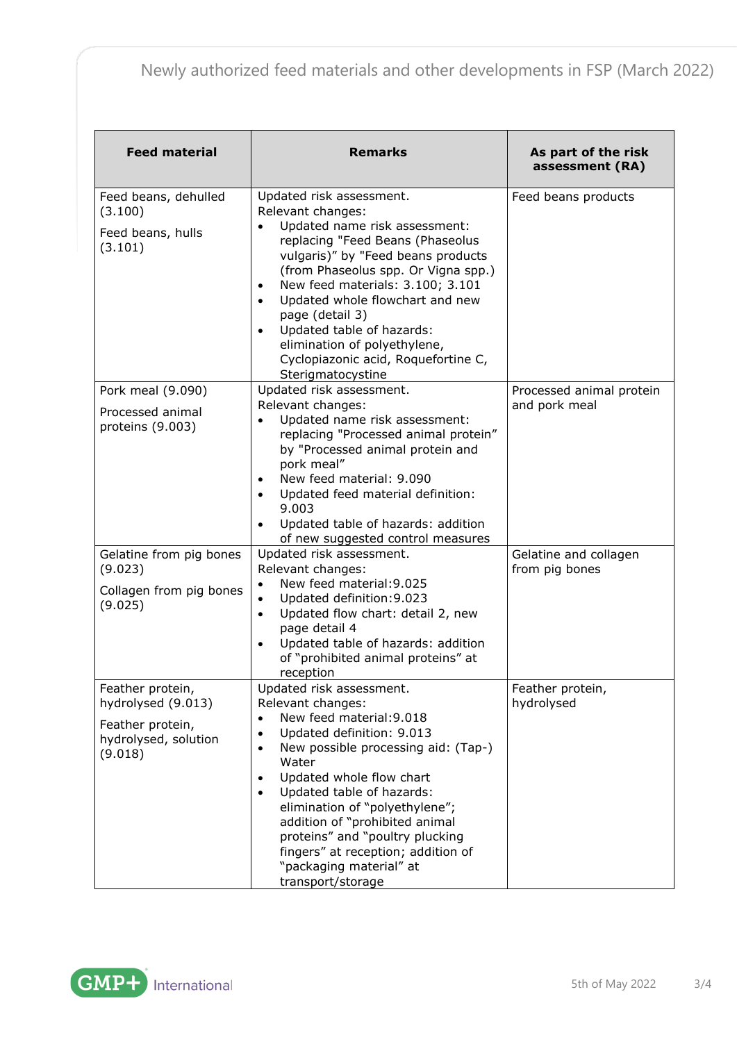## Newly authorized feed materials and other developments in FSP (March 2022)

| <b>Feed material</b>                                                                          | <b>Remarks</b>                                                                                                                                                                                                                                                                                                                                                                                                                                                                | As part of the risk<br>assessment (RA)    |
|-----------------------------------------------------------------------------------------------|-------------------------------------------------------------------------------------------------------------------------------------------------------------------------------------------------------------------------------------------------------------------------------------------------------------------------------------------------------------------------------------------------------------------------------------------------------------------------------|-------------------------------------------|
| Feed beans, dehulled<br>(3.100)<br>Feed beans, hulls<br>(3.101)                               | Updated risk assessment.<br>Relevant changes:<br>Updated name risk assessment:<br>$\bullet$<br>replacing "Feed Beans (Phaseolus<br>vulgaris)" by "Feed beans products<br>(from Phaseolus spp. Or Vigna spp.)<br>New feed materials: 3.100; 3.101<br>$\bullet$<br>Updated whole flowchart and new<br>$\bullet$<br>page (detail 3)<br>Updated table of hazards:<br>$\bullet$<br>elimination of polyethylene,<br>Cyclopiazonic acid, Roquefortine C,<br>Sterigmatocystine        | Feed beans products                       |
| Pork meal (9.090)<br>Processed animal<br>proteins (9.003)                                     | Updated risk assessment.<br>Relevant changes:<br>Updated name risk assessment:<br>$\bullet$<br>replacing "Processed animal protein"<br>by "Processed animal protein and<br>pork meal"<br>New feed material: 9.090<br>$\bullet$<br>Updated feed material definition:<br>$\bullet$<br>9.003<br>Updated table of hazards: addition<br>$\bullet$<br>of new suggested control measures                                                                                             | Processed animal protein<br>and pork meal |
| Gelatine from pig bones<br>(9.023)<br>Collagen from pig bones<br>(9.025)                      | Updated risk assessment.<br>Relevant changes:<br>New feed material: 9.025<br>Updated definition: 9.023<br>$\bullet$<br>Updated flow chart: detail 2, new<br>$\bullet$<br>page detail 4<br>Updated table of hazards: addition<br>$\bullet$<br>of "prohibited animal proteins" at<br>reception                                                                                                                                                                                  | Gelatine and collagen<br>from pig bones   |
| Feather protein,<br>hydrolysed (9.013)<br>Feather protein,<br>hydrolysed, solution<br>(9.018) | Updated risk assessment.<br>Relevant changes:<br>New feed material: 9.018<br>$\bullet$<br>Updated definition: 9.013<br>$\bullet$<br>New possible processing aid: (Tap-)<br>$\bullet$<br>Water<br>Updated whole flow chart<br>$\bullet$<br>Updated table of hazards:<br>$\bullet$<br>elimination of "polyethylene";<br>addition of "prohibited animal<br>proteins" and "poultry plucking<br>fingers" at reception; addition of<br>"packaging material" at<br>transport/storage | Feather protein,<br>hydrolysed            |